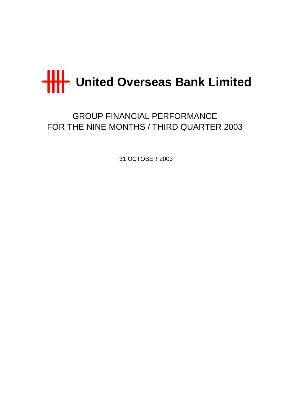

GROUP FINANCIAL PERFORMANCE FOR THE NINE MONTHS / THIRD QUARTER 2003

31 OCTOBER 2003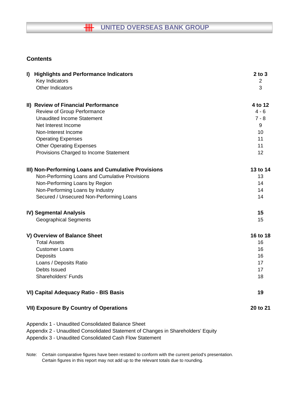# **HH** UNITED OVERSEAS BANK GROUP

## **Contents**

| I) Highlights and Performance Indicators            | $2$ to $3$     |
|-----------------------------------------------------|----------------|
| Key Indicators                                      | $\overline{2}$ |
| <b>Other Indicators</b>                             | 3              |
| II) Review of Financial Performance                 | 4 to 12        |
| Review of Group Performance                         | $4 - 6$        |
| <b>Unaudited Income Statement</b>                   | $7 - 8$        |
| Net Interest Income                                 | 9              |
| Non-Interest Income                                 | 10             |
| <b>Operating Expenses</b>                           | 11             |
| <b>Other Operating Expenses</b>                     | 11             |
| Provisions Charged to Income Statement              | 12             |
| III) Non-Performing Loans and Cumulative Provisions | 13 to 14       |
| Non-Performing Loans and Cumulative Provisions      | 13             |
| Non-Performing Loans by Region                      | 14             |
| Non-Performing Loans by Industry                    | 14             |
| Secured / Unsecured Non-Performing Loans            | 14             |
| <b>IV) Segmental Analysis</b>                       | 15             |
| <b>Geographical Segments</b>                        | 15             |
| V) Overview of Balance Sheet                        | 16 to 18       |
| <b>Total Assets</b>                                 | 16             |
| <b>Customer Loans</b>                               | 16             |
| Deposits                                            | 16             |
| Loans / Deposits Ratio                              | 17             |
| Debts Issued                                        | 17             |
| Shareholders' Funds                                 | 18             |
| VI) Capital Adequacy Ratio - BIS Basis              | 19             |
| <b>VII) Exposure By Country of Operations</b>       | 20 to 21       |
| Appendix 1 - Unaudited Consolidated Balance Sheet   |                |

Appendix 2 - Unaudited Consolidated Statement of Changes in Shareholders' Equity

Appendix 3 - Unaudited Consolidated Cash Flow Statement

Note: Certain comparative figures have been restated to conform with the current period's presentation. Certain figures in this report may not add up to the relevant totals due to rounding.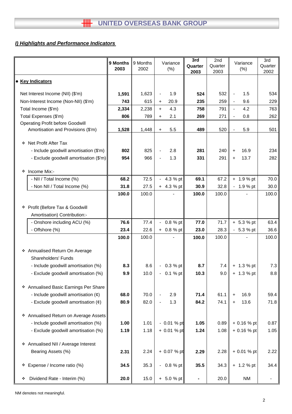## *I) Highlights and Performance Indicators*

|                                                                 | 9 Months<br>2003 | 9 Months<br>2002 |                | Variance<br>(% ) | 3rd<br>Quarter<br>2003 | 2nd<br>Quarter<br>2003 | Variance<br>$(\%)$    | 3rd<br>Quarter<br>2002   |
|-----------------------------------------------------------------|------------------|------------------|----------------|------------------|------------------------|------------------------|-----------------------|--------------------------|
| • Key Indicators                                                |                  |                  |                |                  |                        |                        |                       |                          |
| Net Interest Income (NII) (\$'m)                                | 1,591            | 1,623            | $\blacksquare$ | 1.9              | 524                    | 532                    | 1.5<br>$\blacksquare$ | 534                      |
| Non-Interest Income (Non-NII) (\$'m)                            | 743              | 615              | $\ddot{}$      | 20.9             | 235                    | 259                    | 9.6<br>$\blacksquare$ | 229                      |
| Total Income (\$'m)                                             | 2,334            | 2,238            | $+$            | 4.3              | 758                    | 791                    | 4.2<br>$\blacksquare$ | 763                      |
| Total Expenses (\$'m)                                           | 806              | 789              | $\ddot{}$      | 2.1              | 269                    | 271                    | 0.8<br>$\blacksquare$ | 262                      |
| <b>Operating Profit before Goodwill</b>                         |                  |                  |                |                  |                        |                        |                       |                          |
| Amortisation and Provisions (\$'m)                              | 1,528            | 1,448            | $\ddot{}$      | 5.5              | 489                    | 520                    | 5.9<br>$\blacksquare$ | 501                      |
| ❖ Net Profit After Tax                                          |                  |                  |                |                  |                        |                        |                       |                          |
| - Include goodwill amortisation (\$'m)                          | 802              | 825              |                | 2.8              | 281                    | 240                    | 16.9<br>$\ddot{}$     | 234                      |
| - Exclude goodwill amortisation (\$'m)                          | 954              | 966              |                | 1.3              | 331                    | 291                    | 13.7<br>$\ddot{}$     | 282                      |
| Income Mix:-<br>❖                                               |                  |                  |                |                  |                        |                        |                       |                          |
| - NII / Total Income (%)                                        | 68.2             | 72.5             | $\sim$         | 4.3 % pt         | 69.1                   | 67.2                   | $+ 1.9 %$ pt          | 70.0                     |
| - Non NII / Total Income (%)                                    | 31.8             | 27.5             |                | $+ 4.3 %$ pt     | 30.9                   | 32.8                   | $-1.9%$ pt            | 30.0                     |
|                                                                 | 100.0            | 100.0            |                |                  | 100.0                  | 100.0                  |                       | 100.0                    |
|                                                                 |                  |                  |                |                  |                        |                        |                       |                          |
| * Profit (Before Tax & Goodwill<br>Amortisation) Contribution:- |                  |                  |                |                  |                        |                        |                       |                          |
| - Onshore including ACU (%)                                     | 76.6             | 77.4             |                | 0.8 % pt         | 77.0                   | 71.7                   | $+ 5.3 %$ pt          | 63.4                     |
| - Offshore (%)                                                  | 23.4             | 22.6             | $+$            | 0.8 % pt         | 23.0                   | 28.3                   | $-5.3%$ pt            | 36.6                     |
|                                                                 | 100.0            | 100.0            |                |                  | 100.0                  | 100.0                  |                       | 100.0                    |
|                                                                 |                  |                  |                |                  |                        |                        |                       |                          |
| * Annualised Return On Average                                  |                  |                  |                |                  |                        |                        |                       |                          |
| Shareholders' Funds                                             |                  |                  |                |                  |                        |                        |                       |                          |
| - Include goodwill amortisation (%)                             | 8.3              | 8.6              |                | 0.3 % pt         | 8.7                    | 7.4                    | $+ 1.3 %$ pt          | 7.3                      |
| - Exclude goodwill amortisation (%)                             | 9.9              | 10.0             | $\blacksquare$ | $0.1%$ pt        | 10.3                   | 9.0                    | $+ 1.3 %$ pt          | 8.8                      |
| * Annualised Basic Earnings Per Share                           |                  |                  |                |                  |                        |                        |                       |                          |
| - Include goodwill amortisation $(\phi)$                        | 68.0             | 70.0             |                | 2.9              | 71.4                   | 61.1                   | 16.9<br>$\ddot{}$     | 59.4                     |
| - Exclude goodwill amortisation $(\phi)$                        | 80.9             | 82.0             |                | 1.3              | 84.2                   | 74.1                   | 13.6<br>$+$           | 71.8                     |
|                                                                 |                  |                  |                |                  |                        |                        |                       |                          |
| * Annualised Return on Average Assets                           |                  |                  |                |                  |                        |                        |                       |                          |
| - Include goodwill amortisation (%)                             | 1.00             | 1.01             |                | $-0.01%$ pt      | 1.05                   | 0.89                   | $+0.16%$ pt           | 0.87                     |
| - Exclude goodwill amortisation (%)                             | 1.19             | 1.18             |                | $+ 0.01 %$ pt    | 1.24                   | 1.08                   | $+0.16%$ pt           | 1.05                     |
| ❖ Annualised NII / Average Interest                             |                  |                  |                |                  |                        |                        |                       |                          |
| Bearing Assets (%)                                              | 2.31             | 2.24             |                | $+ 0.07 %$ pt    | 2.29                   | 2.28                   | + 0.01 % pt           | 2.22                     |
| Expense / Income ratio (%)<br>۰                                 | 34.5             | 35.3             | $\blacksquare$ | 0.8 % pt         | 35.5                   | 34.3                   | $+ 1.2 %$ pt          | 34.4                     |
| Dividend Rate - Interim (%)<br>❖                                | 20.0             | 15.0             |                | $+ 5.0 %$ pt     | ۰                      | 20.0                   | <b>NM</b>             | $\overline{\phantom{a}}$ |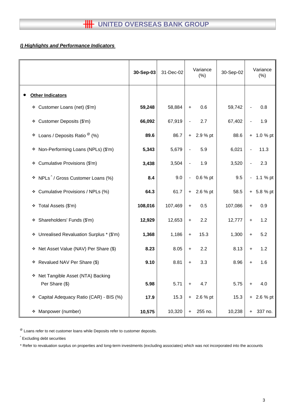# **HILL** UNITED OVERSEAS BANK GROUP

## *I) Highlights and Performance Indicators*

|                                                      | 30-Sep-03 | 31-Dec-02 | Variance<br>(% )                         | 30-Sep-02 | Variance<br>(% )          |
|------------------------------------------------------|-----------|-----------|------------------------------------------|-----------|---------------------------|
| <b>Other Indicators</b>                              |           |           |                                          |           |                           |
| Customer Loans (net) (\$'m)<br>۰                     | 59,248    | 58,884    | 0.6<br>$\ddot{}$                         | 59,742    | 0.8                       |
| Customer Deposits (\$'m)<br>÷.                       | 66,092    | 67,919    | 2.7                                      | 67,402    | 1.9                       |
| Loans / Deposits Ratio $^{\circledR}$ (%)<br>٠       | 89.6      | 86.7      | $+ 2.9 %$ pt                             | 88.6      | $+ 1.0 %$ pt              |
| Non-Performing Loans (NPLs) (\$'m)<br>❖              | 5,343     | 5,679     | 5.9<br>$\qquad \qquad \blacksquare$      | 6,021     | 11.3<br>$\overline{a}$    |
| Cumulative Provisions (\$'m)<br>❖                    | 3,438     | 3,504     | 1.9                                      | 3,520     | 2.3                       |
| NPLs <sup>^</sup> / Gross Customer Loans (%)<br>۰    | 8.4       | 9.0       | 0.6 % pt<br>$\qquad \qquad \blacksquare$ | 9.5       | 1.1 % pt<br>$\frac{1}{2}$ |
| Cumulative Provisions / NPLs (%)<br>۰                | 64.3      | 61.7      | 2.6 % pt<br>$+$                          | 58.5      | $+ 5.8 %$ pt              |
| Total Assets (\$'m)<br>❖                             | 108,016   | 107,469   | 0.5<br>$\ddot{}$                         | 107,086   | 0.9<br>+                  |
| Shareholders' Funds (\$'m)<br>❖                      | 12,929    | 12,653    | 2.2<br>$\ddot{}$                         | 12,777    | 1.2<br>$\ddot{}$          |
| * Unrealised Revaluation Surplus * (\$'m)            | 1,368     | 1,186     | 15.3<br>$\ddag$                          | 1,300     | 5.2<br>$\ddot{}$          |
| Net Asset Value (NAV) Per Share (\$)<br>۰            | 8.23      | 8.05      | 2.2<br>$\ddot{}$                         | 8.13      | 1.2<br>$\ddot{}$          |
| Revalued NAV Per Share (\$)<br>❖                     | 9.10      | 8.81      | 3.3<br>$\ddot{}$                         | 8.96      | 1.6<br>$\ddot{}$          |
| * Net Tangible Asset (NTA) Backing<br>Per Share (\$) | 5.98      | 5.71      | 4.7<br>+                                 | 5.75      | 4.0<br>+                  |
| Capital Adequacy Ratio (CAR) - BIS (%)<br>❖          | 17.9      | 15.3      | 2.6 % pt<br>+                            | 15.3      | $+ 2.6 %$ pt              |
| Manpower (number)<br>❖                               | 10,575    | 10,320    | 255 no.<br>+                             | 10,238    | 337 no.<br>$+$            |

 $^{\circledR}$  Loans refer to net customer loans while Deposits refer to customer deposits.

^ Excluding debt securities

\* Refer to revaluation surplus on properties and long-term investments (excluding associates) which was not incorporated into the accounts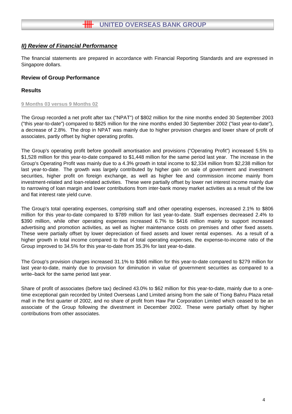The financial statements are prepared in accordance with Financial Reporting Standards and are expressed in Singapore dollars.

## **Review of Group Performance**

## **Results**

#### **9 Months 03 versus 9 Months 02**

The Group recorded a net profit after tax ("NPAT") of \$802 million for the nine months ended 30 September 2003 ("this year-to-date") compared to \$825 million for the nine months ended 30 September 2002 ("last year-to-date"), a decrease of 2.8%. The drop in NPAT was mainly due to higher provision charges and lower share of profit of associates, partly offset by higher operating profits.

The Group's operating profit before goodwill amortisation and provisions ("Operating Profit") increased 5.5% to \$1,528 million for this year-to-date compared to \$1,448 million for the same period last year. The increase in the Group's Operating Profit was mainly due to a 4.3% growth in total income to \$2,334 million from \$2,238 million for last year-to-date. The growth was largely contributed by higher gain on sale of government and investment securities, higher profit on foreign exchange, as well as higher fee and commission income mainly from investment-related and loan-related activities. These were partially offset by lower net interest income mainly due to narrowing of loan margin and lower contributions from inter-bank money market activities as a result of the low and flat interest rate yield curve.

The Group's total operating expenses, comprising staff and other operating expenses, increased 2.1% to \$806 million for this year-to-date compared to \$789 million for last year-to-date. Staff expenses decreased 2.4% to \$390 million, while other operating expenses increased 6.7% to \$416 million mainly to support increased advertising and promotion activities, as well as higher maintenance costs on premises and other fixed assets. These were partially offset by lower depreciation of fixed assets and lower rental expenses. As a result of a higher growth in total income compared to that of total operating expenses, the expense-to-income ratio of the Group improved to 34.5% for this year-to-date from 35.3% for last year-to-date.

The Group's provision charges increased 31.1% to \$366 million for this year-to-date compared to \$279 million for last year-to-date, mainly due to provision for diminution in value of government securities as compared to a write–back for the same period last year.

Share of profit of associates (before tax) declined 43.0% to \$62 million for this year-to-date, mainly due to a onetime exceptional gain recorded by United Overseas Land Limited arising from the sale of Tiong Bahru Plaza retail mall in the first quarter of 2002, and no share of profit from Haw Par Corporation Limited which ceased to be an associate of the Group following the divestment in December 2002. These were partially offset by higher contributions from other associates.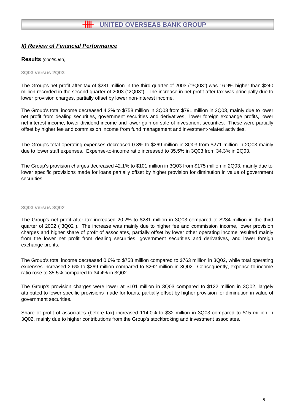#### **Results** *(continued)*

#### **3Q03 versus 2Q03**

The Group's net profit after tax of \$281 million in the third quarter of 2003 ("3Q03") was 16.9% higher than \$240 million recorded in the second quarter of 2003 ("2Q03"). The increase in net profit after tax was principally due to lower provision charges, partially offset by lower non-interest income.

The Group's total income decreased 4.2% to \$758 million in 3Q03 from \$791 million in 2Q03, mainly due to lower net profit from dealing securities, government securities and derivatives, lower foreign exchange profits, lower net interest income, lower dividend income and lower gain on sale of investment securities. These were partially offset by higher fee and commission income from fund management and investment-related activities.

The Group's total operating expenses decreased 0.8% to \$269 million in 3Q03 from \$271 million in 2Q03 mainly due to lower staff expenses. Expense-to-income ratio increased to 35.5% in 3Q03 from 34.3% in 2Q03.

The Group's provision charges decreased 42.1% to \$101 million in 3Q03 from \$175 million in 2Q03, mainly due to lower specific provisions made for loans partially offset by higher provision for diminution in value of government securities.

#### **3Q03 versus 3Q02**

The Group's net profit after tax increased 20.2% to \$281 million in 3Q03 compared to \$234 million in the third quarter of 2002 ("3Q02"). The increase was mainly due to higher fee and commission income, lower provision charges and higher share of profit of associates, partially offset by lower other operating income resulted mainly from the lower net profit from dealing securities, government securities and derivatives, and lower foreign exchange profits.

The Group's total income decreased 0.6% to \$758 million compared to \$763 million in 3Q02, while total operating expenses increased 2.6% to \$269 million compared to \$262 million in 3Q02. Consequently, expense-to-income ratio rose to 35.5% compared to 34.4% in 3Q02.

The Group's provision charges were lower at \$101 million in 3Q03 compared to \$122 million in 3Q02, largely attributed to lower specific provisions made for loans, partially offset by higher provision for diminution in value of government securities.

Share of profit of associates (before tax) increased 114.0% to \$32 million in 3Q03 compared to \$15 million in 3Q02, mainly due to higher contributions from the Group's stockbroking and investment associates.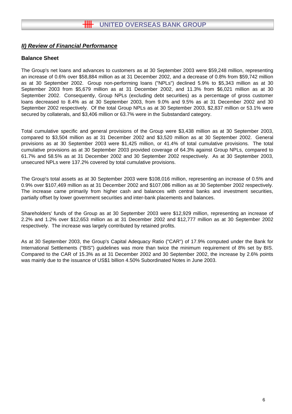#### **Balance Sheet**

The Group's net loans and advances to customers as at 30 September 2003 were \$59,248 million, representing an increase of 0.6% over \$58,884 million as at 31 December 2002, and a decrease of 0.8% from \$59,742 million as at 30 September 2002. Group non-performing loans ("NPLs") declined 5.9% to \$5,343 million as at 30 September 2003 from \$5,679 million as at 31 December 2002, and 11.3% from \$6,021 million as at 30 September 2002. Consequently, Group NPLs (excluding debt securities) as a percentage of gross customer loans decreased to 8.4% as at 30 September 2003, from 9.0% and 9.5% as at 31 December 2002 and 30 September 2002 respectively. Of the total Group NPLs as at 30 September 2003, \$2,837 million or 53.1% were secured by collaterals, and \$3,406 million or 63.7% were in the Substandard category.

Total cumulative specific and general provisions of the Group were \$3,438 million as at 30 September 2003, compared to \$3,504 million as at 31 December 2002 and \$3,520 million as at 30 September 2002. General provisions as at 30 September 2003 were \$1,425 million, or 41.4% of total cumulative provisions. The total cumulative provisions as at 30 September 2003 provided coverage of 64.3% against Group NPLs, compared to 61.7% and 58.5% as at 31 December 2002 and 30 September 2002 respectively. As at 30 September 2003, unsecured NPLs were 137.2% covered by total cumulative provisions.

The Group's total assets as at 30 September 2003 were \$108,016 million, representing an increase of 0.5% and 0.9% over \$107,469 million as at 31 December 2002 and \$107,086 million as at 30 September 2002 respectively. The increase came primarily from higher cash and balances with central banks and investment securities, partially offset by lower government securities and inter-bank placements and balances.

Shareholders' funds of the Group as at 30 September 2003 were \$12,929 million, representing an increase of 2.2% and 1.2% over \$12,653 million as at 31 December 2002 and \$12,777 million as at 30 September 2002 respectively. The increase was largely contributed by retained profits.

As at 30 September 2003, the Group's Capital Adequacy Ratio ("CAR") of 17.9% computed under the Bank for International Settlements ("BIS") guidelines was more than twice the minimum requirement of 8% set by BIS. Compared to the CAR of 15.3% as at 31 December 2002 and 30 September 2002, the increase by 2.6% points was mainly due to the issuance of US\$1 billion 4.50% Subordinated Notes in June 2003.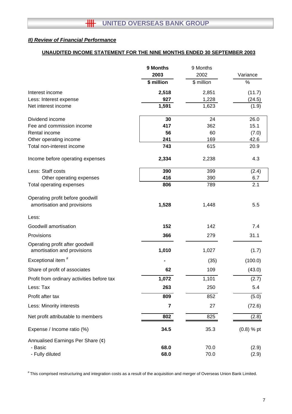## **UNAUDITED INCOME STATEMENT FOR THE NINE MONTHS ENDED 30 SEPTEMBER 2003**

|                                                                | 9 Months<br>2003 | 9 Months<br>2002 | Variance     |
|----------------------------------------------------------------|------------------|------------------|--------------|
|                                                                | \$ million       | \$ million       | $\%$         |
| Interest income                                                | 2,518            | 2,851            | (11.7)       |
| Less: Interest expense                                         | 927              | 1,228            | (24.5)       |
| Net interest income                                            | 1,591            | 1,623            | (1.9)        |
| Dividend income                                                | 30               | 24               | 26.0         |
| Fee and commission income                                      | 417              | 362              | 15.1         |
| Rental income                                                  | 56               | 60               | (7.0)        |
| Other operating income                                         | 241              | 169              | 42.6         |
| Total non-interest income                                      | 743              | 615              | 20.9         |
| Income before operating expenses                               | 2,334            | 2,238            | 4.3          |
| Less: Staff costs                                              | 390              | 399              | (2.4)        |
| Other operating expenses                                       | 416              | 390              | 6.7          |
| Total operating expenses                                       | 806              | 789              | 2.1          |
| Operating profit before goodwill                               |                  |                  |              |
| amortisation and provisions                                    | 1,528            | 1,448            | 5.5          |
| Less:                                                          |                  |                  |              |
| Goodwill amortisation                                          | 152              | 142              | 7.4          |
| Provisions                                                     | 366              | 279              | 31.1         |
| Operating profit after goodwill<br>amortisation and provisions | 1,010            | 1,027            | (1.7)        |
| Exceptional item <sup>#</sup>                                  |                  | (35)             | (100.0)      |
| Share of profit of associates                                  | 62               | 109              | (43.0)       |
| Profit from ordinary activities before tax                     | 1,072            | 1,101            | (2.7)        |
| Less: Tax                                                      | 263              | 250              | 5.4          |
| Profit after tax                                               | 809              | 852              | (5.0)        |
| Less: Minority interests                                       | $\overline{7}$   | 27               | (72.6)       |
| Net profit attributable to members                             | 802              | 825              | (2.8)        |
| Expense / Income ratio (%)                                     | 34.5             | 35.3             | $(0.8)$ % pt |
| Annualised Earnings Per Share $(\phi)$                         |                  |                  |              |
| - Basic                                                        | 68.0             | 70.0             | (2.9)        |
| - Fully diluted                                                | 68.0             | 70.0             | (2.9)        |

# This comprised restructuring and integration costs as a result of the acquisition and merger of Overseas Union Bank Limited.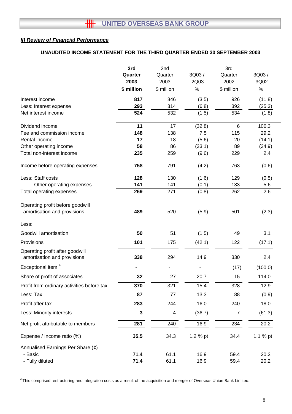## **UNAUDITED INCOME STATEMENT FOR THE THIRD QUARTER ENDED 30 SEPTEMBER 2003**

|                                                                 | 3rd<br>Quarter<br>2003 | 2nd<br>Quarter<br>2003 | 3Q03/<br>2Q03 | 3rd<br>Quarter<br>2002 | 3Q03/<br>3Q02 |
|-----------------------------------------------------------------|------------------------|------------------------|---------------|------------------------|---------------|
|                                                                 | \$ million             | \$ million             | $\%$          | \$ million             | $\%$          |
| Interest income                                                 | 817                    | 846                    | (3.5)         | 926                    | (11.8)        |
| Less: Interest expense                                          | 293                    | 314                    | (6.8)         | 392                    | (25.3)        |
| Net interest income                                             | 524                    | 532                    | (1.5)         | 534                    | (1.8)         |
| Dividend income                                                 | 11                     | 17                     | (32.8)        | 6                      | 100.3         |
| Fee and commission income                                       | 148                    | 138                    | 7.5           | 115                    | 29.2          |
| Rental income                                                   | 17                     | 18                     | (5.6)         | 20                     | (14.1)        |
| Other operating income                                          | 58                     | 86                     | (33.1)        | 89                     | (34.9)        |
| Total non-interest income                                       | 235                    | 259                    | (9.6)         | 229                    | 2.4           |
| Income before operating expenses                                | 758                    | 791                    | (4.2)         | 763                    | (0.6)         |
| Less: Staff costs                                               | 128                    | 130                    | (1.6)         | 129                    | (0.5)         |
| Other operating expenses                                        | 141                    | 141                    | (0.1)         | 133                    | 5.6           |
| Total operating expenses                                        | 269                    | 271                    | (0.8)         | 262                    | 2.6           |
| Operating profit before goodwill<br>amortisation and provisions | 489                    | 520                    | (5.9)         | 501                    | (2.3)         |
| Less:                                                           |                        |                        |               |                        |               |
| Goodwill amortisation                                           | 50                     | 51                     | (1.5)         | 49                     | 3.1           |
| Provisions                                                      | 101                    | 175                    | (42.1)        | 122                    | (17.1)        |
| Operating profit after goodwill<br>amortisation and provisions  | 338                    | 294                    | 14.9          | 330                    | 2.4           |
| Exceptional item <sup>#</sup>                                   |                        |                        |               | (17)                   | (100.0)       |
| Share of profit of associates                                   | 32                     | 27                     | 20.7          | 15                     | 114.0         |
| Profit from ordinary activities before tax                      | 370                    | 321                    | 15.4          | 328                    | 12.9          |
| Less: Tax                                                       | 87                     | 77                     | 13.3          | 88                     | (0.9)         |
| Profit after tax                                                | 283                    | 244                    | 16.0          | 240                    | 18.0          |
| Less: Minority interests                                        | $\mathbf{3}$           | $\overline{4}$         | (36.7)        | $\overline{7}$         | (61.3)        |
| Net profit attributable to members                              | 281                    | 240                    | 16.9          | 234                    | 20.2          |
| Expense / Income ratio (%)                                      | 35.5                   | 34.3                   | 1.2 % pt      | 34.4                   | 1.1 % pt      |
| Annualised Earnings Per Share (¢)                               |                        |                        |               |                        |               |
| - Basic                                                         | 71.4                   | 61.1                   | 16.9          | 59.4                   | 20.2          |
| - Fully diluted                                                 | 71.4                   | 61.1                   | 16.9          | 59.4                   | 20.2          |

# This comprised restructuring and integration costs as a result of the acquisition and merger of Overseas Union Bank Limited.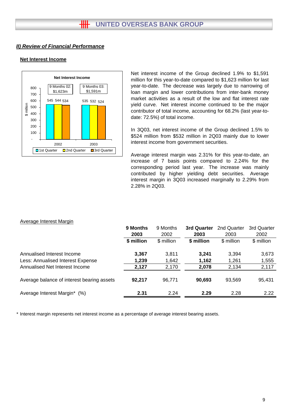#### **Net Interest Income**



Net interest income of the Group declined 1.9% to \$1,591 million for this year-to-date compared to \$1,623 million for last year-to-date. The decrease was largely due to narrowing of loan margin and lower contributions from inter-bank money market activities as a result of the low and flat interest rate yield curve. Net interest income continued to be the major contributor of total income, accounting for 68.2% (last year-todate: 72.5%) of total income.

In 3Q03, net interest income of the Group declined 1.5% to \$524 million from \$532 million in 2Q03 mainly due to lower interest income from government securities.

Average interest margin was 2.31% for this year-to-date, an increase of 7 basis points compared to 2.24% for the corresponding period last year. The increase was mainly contributed by higher yielding debt securities. Average interest margin in 3Q03 increased marginally to 2.29% from 2.28% in 2Q03.

|                                            | 9 Months<br>9 Months<br>2003<br>2002 |            | 3rd Quarter<br>2003 | 2nd Quarter<br>2003 | 3rd Quarter<br>2002 |
|--------------------------------------------|--------------------------------------|------------|---------------------|---------------------|---------------------|
|                                            | \$ million                           | \$ million | \$ million          | \$ million          | \$ million          |
| Annualised Interest Income                 | 3,367                                | 3,811      | 3.241               | 3.394               | 3,673               |
| Less: Annualised Interest Expense          | 1,239                                | 1,642      | 1,162               | 1,261               | 1,555               |
| Annualised Net Interest Income             | 2,127                                | 2,170      | 2,078               | 2,134               | 2,117               |
| Average balance of interest bearing assets | 92,217                               | 96,771     | 90,693              | 93,569              | 95,431              |
| Average Interest Margin*<br>(% )           | 2.31                                 | 2.24       | 2.29                | 2.28                | 2.22                |

#### Average Interest Margin

\* Interest margin represents net interest income as a percentage of average interest bearing assets.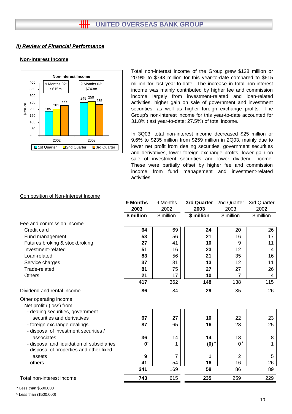## **Non-Interest Income**



Total non-interest income of the Group grew \$128 million or 20.9% to \$743 million for this year-to-date compared to \$615 million for last year-to-date. The increase in total non-interest income was mainly contributed by higher fee and commission income largely from investment-related and loan-related activities, higher gain on sale of government and investment securities, as well as higher foreign exchange profits. The Group's non-interest income for this year-to-date accounted for 31.8% (last year-to-date: 27.5%) of total income.

In 3Q03, total non-interest income decreased \$25 million or 9.6% to \$235 million from \$259 million in 2Q03, mainly due to lower net profit from dealing securities, government securities and derivatives, lower foreign exchange profits, lower gain on sale of investment securities and lower dividend income. These were partially offset by higher fee and commission income from fund management and investment-related activities.

#### Composition of Non-Interest Income

|                                                                                        | 9 Months       | 9 Months   | 3rd Quarter    | 2nd Quarter    | 3rd Quarter    |
|----------------------------------------------------------------------------------------|----------------|------------|----------------|----------------|----------------|
|                                                                                        | 2003           | 2002       | 2003           | 2003           | 2002           |
|                                                                                        | \$ million     | \$ million | \$ million     | \$ million     | \$ million     |
| Fee and commission income                                                              |                |            |                |                |                |
| Credit card                                                                            | 64             | 69         | 24             | 20             | 26             |
| Fund management                                                                        | 53             | 56         | 21             | 16             | 17             |
| Futures broking & stockbroking                                                         | 27             | 41         | 10             | 9              | 11             |
| Investment-related                                                                     | 51             | 16         | 23             | 12             | $\overline{4}$ |
| Loan-related                                                                           | 83             | 56         | 21             | 35             | 16             |
| Service charges                                                                        | 37             | 31         | 13             | 12             | 11             |
| Trade-related                                                                          | 81             | 75         | 27             | 27             | 26             |
| <b>Others</b>                                                                          | 21             | 17         | 10             | 7              | $\overline{4}$ |
|                                                                                        | 417            | 362        | 148            | 138            | 115            |
| Dividend and rental income                                                             | 86             | 84         | 29             | 35             | 26             |
| Other operating income<br>Net profit / (loss) from:                                    |                |            |                |                |                |
| - dealing securities, government<br>securities and derivatives                         | 67             | 27         | 10             | 22             | 23             |
| - foreign exchange dealings<br>- disposal of investment securities /                   | 87             | 65         | 16             | 28             | 25             |
| associates                                                                             | 36             | 14         | 14             | 18             | 8              |
| - disposal and liquidation of subsidiaries<br>- disposal of properties and other fixed | $\mathbf{0}^*$ |            | $(0)^{\wedge}$ | $0^*$          | 1              |
| assets                                                                                 | 9              | 7          | 1              | $\overline{2}$ | 5              |
| - others                                                                               | 41             | 54         | 16             | 16             | 26             |
|                                                                                        | 241            | 169        | 58             | 86             | 89             |
| Total non-interest income                                                              | 743            | 615        | 235            | 259            | 229            |

\* Less than \$500,000

^ Less than (\$500,000)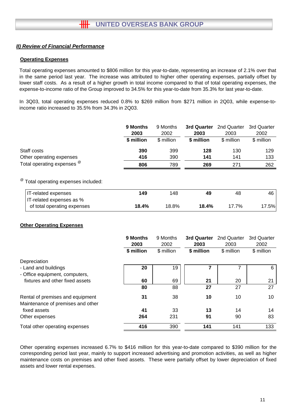#### **Operating Expenses**

Total operating expenses amounted to \$806 million for this year-to-date, representing an increase of 2.1% over that in the same period last year. The increase was attributed to higher other operating expenses, partially offset by lower staff costs. As a result of a higher growth in total income compared to that of total operating expenses, the expense-to-income ratio of the Group improved to 34.5% for this year-to-date from 35.3% for last year-to-date.

In 3Q03, total operating expenses reduced 0.8% to \$269 million from \$271 million in 2Q03, while expense-toincome ratio increased to 35.5% from 34.3% in 2Q03.

|                                                 | 9 Months   | 9 Months<br>3rd Quarter |            | 2nd Quarter | 3rd Quarter |
|-------------------------------------------------|------------|-------------------------|------------|-------------|-------------|
|                                                 | 2003       | 2002                    | 2003       | 2003        | 2002        |
|                                                 | \$ million | \$ million              | \$ million | \$ million  | \$ million  |
| Staff costs                                     | 390        | 399                     | 128        | 130         | 129         |
| Other operating expenses                        | 416        | 390                     | 141        | 141         | 133         |
| Total operating expenses $^{\circledR}$         | 806        | 789                     | 269        | 271         | 262         |
| <sup>@</sup> Total operating expenses included: |            |                         |            |             |             |

| <b>IT-related expenses</b>  | 149   | 148   | 49    | 48    | 46 l |
|-----------------------------|-------|-------|-------|-------|------|
| IT-related expenses as %    |       |       |       |       |      |
| of total operating expenses | 18.4% | 18.8% | 18.4% | 17.7% | 7.5% |

#### **Other Operating Expenses**

|                                                                       | 9 Months<br>9 Months<br>2003<br>2002 |            | 3rd Quarter<br>2003 | 2nd Quarter<br>2003 | 3rd Quarter<br>2002 |
|-----------------------------------------------------------------------|--------------------------------------|------------|---------------------|---------------------|---------------------|
|                                                                       | \$ million                           | \$ million | \$ million          | \$ million          | \$ million          |
| Depreciation                                                          |                                      |            |                     |                     |                     |
| - Land and buildings<br>- Office equipment, computers,                | 20                                   | 19         |                     |                     | 6                   |
| fixtures and other fixed assets                                       | 60                                   | 69         | 21                  | 20                  | 21                  |
|                                                                       | 80                                   | 88         | 27                  | 27                  | 27                  |
| Rental of premises and equipment<br>Maintenance of premises and other | 31                                   | 38         | 10                  | 10                  | 10                  |
| fixed assets                                                          | 41                                   | 33         | 13                  | 14                  | 14                  |
| Other expenses                                                        | 264                                  | 231        | 91                  | 90                  | 83                  |
| Total other operating expenses                                        | 416                                  | 390        | 141                 | 141                 | 133                 |

Other operating expenses increased 6.7% to \$416 million for this year-to-date compared to \$390 million for the corresponding period last year, mainly to support increased advertising and promotion activities, as well as higher maintenance costs on premises and other fixed assets. These were partially offset by lower depreciation of fixed assets and lower rental expenses.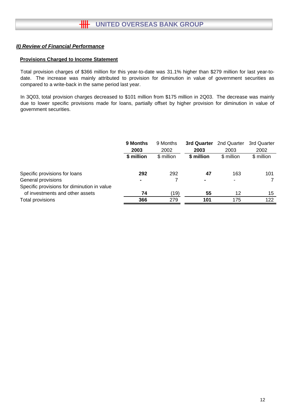#### **Provisions Charged to Income Statement**

Total provision charges of \$366 million for this year-to-date was 31.1% higher than \$279 million for last year-todate. The increase was mainly attributed to provision for diminution in value of government securities as compared to a write-back in the same period last year.

In 3Q03, total provision charges decreased to \$101 million from \$175 million in 2Q03. The decrease was mainly due to lower specific provisions made for loans, partially offset by higher provision for diminution in value of government securities.

|                                             | 9 Months<br>2003 | 9 Months<br>3rd Quarter<br>2002 |            | 2nd Quarter<br>2003 | 3rd Quarter<br>2002 |
|---------------------------------------------|------------------|---------------------------------|------------|---------------------|---------------------|
|                                             | \$ million       | \$ million                      | \$ million | \$ million          | \$ million          |
| Specific provisions for loans               | 292              | 292                             | 47         | 163                 | 101                 |
| General provisions                          | ۰                |                                 |            | $\blacksquare$      |                     |
| Specific provisions for diminution in value |                  |                                 |            |                     |                     |
| of investments and other assets             | 74               | (19)                            | 55         | 12                  | 15                  |
| Total provisions                            | 366              | 279                             | 101        | 175                 | 122                 |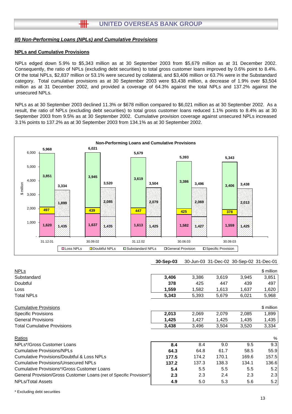#### *III) Non-Performing Loans (NPLs) and Cumulative Provisions*

#### **NPLs and Cumulative Provisions**

NPLs edged down 5.9% to \$5,343 million as at 30 September 2003 from \$5,679 million as at 31 December 2002. Consequently, the ratio of NPLs (excluding debt securities) to total gross customer loans improved by 0.6% point to 8.4%. Of the total NPLs, \$2,837 million or 53.1% were secured by collateral, and \$3,406 million or 63.7% were in the Substandard category. Total cumulative provisions as at 30 September 2003 were \$3,438 million, a decrease of 1.9% over \$3,504 million as at 31 December 2002, and provided a coverage of 64.3% against the total NPLs and 137.2% against the unsecured NPLs.

NPLs as at 30 September 2003 declined 11.3% or \$678 million compared to \$6,021 million as at 30 September 2002. As a result, the ratio of NPLs (excluding debt securities) to total gross customer loans reduced 1.1% points to 8.4% as at 30 September 2003 from 9.5% as at 30 September 2002. Cumulative provision coverage against unsecured NPLs increased 3.1% points to 137.2% as at 30 September 2003 from 134.1% as at 30 September 2002.



| <b>NPLs</b>                                                         |       |       |       |       | \$ million |
|---------------------------------------------------------------------|-------|-------|-------|-------|------------|
| Substandard                                                         | 3,406 | 3,386 | 3,619 | 3,945 | 3,851      |
| Doubtful                                                            | 378   | 425   | 447   | 439   | 497        |
| Loss                                                                | 1,559 | 1,582 | 1,613 | 1,637 | 1,620      |
| <b>Total NPLs</b>                                                   | 5,343 | 5,393 | 5,679 | 6,021 | 5,968      |
| <b>Cumulative Provisions</b>                                        |       |       |       |       | \$ million |
| <b>Specific Provisions</b>                                          | 2,013 | 2,069 | 2,079 | 2,085 | 1,899      |
| <b>General Provisions</b>                                           | 1,425 | 1,427 | 1,425 | 1,435 | 1,435      |
| <b>Total Cumulative Provisions</b>                                  | 3,438 | 3,496 | 3,504 | 3,520 | 3,334      |
| Ratios                                                              |       |       |       |       | %          |
| NPLs*/Gross Customer Loans                                          | 8.4   | 8.4   | 9.0   | 9.5   | 9.3        |
| <b>Cumulative Provisions/NPLs</b>                                   | 64.3  | 64.8  | 61.7  | 58.5  | 55.9       |
| Cumulative Provisions/Doubtful & Loss NPLs                          | 177.5 | 174.2 | 170.1 | 169.6 | 157.5      |
| <b>Cumulative Provisions/Unsecured NPLs</b>                         | 137.2 | 137.3 | 138.3 | 134.1 | 136.6      |
| <b>Cumulative Provisions*/Gross Customer Loans</b>                  | 5.4   | 5.5   | 5.5   | 5.5   | 5.2        |
| General Provision/Gross Customer Loans (net of Specific Provision*) | 2.3   | 2.3   | 2.4   | 2.3   | 2.3        |
| <b>NPLs/Total Assets</b>                                            | 4.9   | 5.0   | 5.3   | 5.6   | 5.2        |

\* Excluding debt securities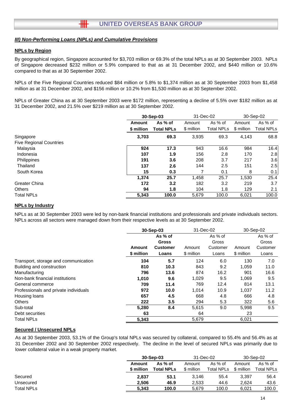#### *III) Non-Performing Loans (NPLs) and Cumulative Provisions*

#### **NPLs by Region**

By geographical region, Singapore accounted for \$3,703 million or 69.3% of the total NPLs as at 30 September 2003. NPLs of Singapore decreased \$232 million or 5.9% compared to that as at 31 December 2002, and \$440 million or 10.6% compared to that as at 30 September 2002.

NPLs of the Five Regional Countries reduced \$84 million or 5.8% to \$1,374 million as at 30 September 2003 from \$1,458 million as at 31 December 2002, and \$156 million or 10.2% from \$1,530 million as at 30 September 2002.

NPLs of Greater China as at 30 September 2003 were \$172 million, representing a decline of 5.5% over \$182 million as at 31 December 2002, and 21.5% over \$219 million as at 30 September 2002.

|                                |            | 30-Sep-03         |            | 31-Dec-02         |            | 30-Sep-02  |
|--------------------------------|------------|-------------------|------------|-------------------|------------|------------|
|                                | Amount     | As % of           | Amount     | As % of           | Amount     | As % of    |
|                                | \$ million | <b>Total NPLs</b> | \$ million | <b>Total NPLs</b> | \$ million | Total NPLs |
| Singapore                      | 3,703      | 69.3              | 3,935      | 69.3              | 4,143      | 68.8       |
| <b>Five Regional Countries</b> |            |                   |            |                   |            |            |
| Malaysia                       | 924        | 17.3              | 943        | 16.6              | 984        | 16.4       |
| Indonesia                      | 107        | 1.9               | 156        | 2.8               | 170        | 2.8        |
| Philippines                    | 191        | 3.6               | 208        | 3.7               | 217        | 3.6        |
| Thailand                       | 137        | 2.6               | 144        | 2.5               | 151        | 2.5        |
| South Korea                    | 15         | 0.3               |            | 0.1               | 8          | 0.1        |
|                                | 1.374      | 25.7              | 1,458      | 25.7              | 1,530      | 25.4       |
| Greater China                  | 172        | 3.2               | 182        | 3.2               | 219        | 3.7        |
| <b>Others</b>                  | 94         | 1.8               | 104        | 1.8               | 129        | 2.1        |
| <b>Total NPLs</b>              | 5,343      | 100.0             | 5.679      | 100.0             | 6,021      | 100.0      |

#### **NPLs by Industry**

NPLs as at 30 September 2003 were led by non-bank financial institutions and professionals and private individuals sectors. NPLs across all sectors were managed down from their respective levels as at 30 September 2002.

|                                       | 30-Sep-03  |                 | 31-Dec-02  |          |            | 30-Sep-02 |  |
|---------------------------------------|------------|-----------------|------------|----------|------------|-----------|--|
|                                       |            | As % of         |            | As % of  |            | As % of   |  |
|                                       |            | <b>Gross</b>    |            | Gross    |            | Gross     |  |
|                                       | Amount     | <b>Customer</b> | Amount     | Customer | Amount     | Customer  |  |
|                                       | \$ million | Loans           | \$ million | Loans    | \$ million | Loans     |  |
| Transport, storage and communication  | 104        | 5.7             | 124        | 6.0      | 130        | 7.0       |  |
| Building and construction             | 810        | 10.3            | 843        | 9.2      | 1,059      | 11.0      |  |
| Manufacturing                         | 796        | 13.6            | 874        | 16.2     | 901        | 16.6      |  |
| Non-bank financial institutions       | 1.010      | 9.6             | 1,029      | 9.5      | 1,069      | 9.5       |  |
| General commerce                      | 709        | 11.4            | 769        | 12.4     | 814        | 13.1      |  |
| Professionals and private individuals | 972        | 10.0            | 1,014      | 10.9     | 1,037      | 11.2      |  |
| Housing loans                         | 657        | 4.5             | 668        | 4.8      | 666        | 4.8       |  |
| <b>Others</b>                         | 222        | 3.5             | 294        | 5.3      | 322        | 5.6       |  |
| Sub-total                             | 5.280      | 8.4             | 5,615      | 9.0      | 5.998      | 9.5       |  |
| Debt securities                       | 63         |                 | 64         |          | 23         |           |  |
| <b>Total NPLs</b>                     | 5,343      |                 | 5,679      |          | 6,021      |           |  |

#### **Secured / Unsecured NPLs**

As at 30 September 2003, 53.1% of the Group's total NPLs was secured by collateral, compared to 55.4% and 56.4% as at 31 December 2002 and 30 September 2002 respectively. The decline in the level of secured NPLs was primarily due to lower collateral value in a weak property market.

| 30-Sep-03         |                   | 31-Dec-02  |                   | 30-Sep-02  |            |
|-------------------|-------------------|------------|-------------------|------------|------------|
| As % of<br>Amount |                   | Amount     | As % of           | Amount     | As $%$ of  |
| \$ million        | <b>Total NPLs</b> | \$ million | <b>Total NPLs</b> | \$ million | Total NPLs |
| 2.837             | 53.1              | 3.146      | 55.4              | 3.397      | 56.4       |
| 2.506             | 46.9              | 2,533      | 44.6              | 2.624      | 43.6       |
| 5.343             | 100.0             | 5.679      | 100.0             | 6.021      | 100.0      |
|                   |                   |            |                   |            |            |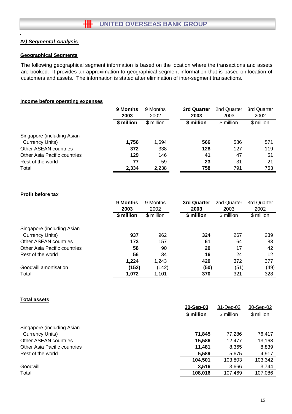## *IV) Segmental Analysis*

#### **Geographical Segments**

The following geographical segment information is based on the location where the transactions and assets are booked. It provides an approximation to geographical segment information that is based on location of customers and assets. The information is stated after elimination of inter-segment transactions.

#### **Income before operating expenses**

|                                     | 9 Months   | 9 Months   | 3rd Quarter | 2nd Quarter | 3rd Quarter |
|-------------------------------------|------------|------------|-------------|-------------|-------------|
|                                     | 2003       | 2002       | 2003        | 2003        | 2002        |
|                                     | \$ million | \$ million | \$ million  | \$ million  | \$ million  |
| Singapore (including Asian          |            |            |             |             |             |
| <b>Currency Units)</b>              | 1,756      | 1,694      | 566         | 586         | 571         |
| Other ASEAN countries               | 372        | 338        | 128         | 127         | 119         |
| <b>Other Asia Pacific countries</b> | 129        | 146        | 41          | 47          | 51          |
| Rest of the world                   | 77         | 59         | 23          | 31          | 21          |
| Total                               | 2,334      | 2,238      | 758         | 791         | 763         |

## **Profit before tax**

|                              | 9 Months   | 9 Months   | 3rd Quarter | 2nd Quarter | 3rd Quarter |
|------------------------------|------------|------------|-------------|-------------|-------------|
|                              | 2003       | 2002       | 2003        | 2003        | 2002        |
|                              | \$ million | \$ million | \$ million  | \$ million  | \$ million  |
| Singapore (including Asian   |            |            |             |             |             |
| Currency Units)              | 937        | 962        | 324         | 267         | 239         |
| Other ASEAN countries        | 173        | 157        | 61          | 64          | 83          |
| Other Asia Pacific countries | 58         | 90         | 20          | 17          | 42          |
| Rest of the world            | 56         | 34         | 16          | 24          | 12          |
|                              | 1,224      | 1,243      | 420         | 372         | 377         |
| Goodwill amortisation        | (152)      | (142)      | (50)        | (51)        | (49)        |
| Total                        | 1,072      | 1,101      | 370         | 321         | 328         |
|                              |            |            |             |             |             |

#### **Total assets**

|                                     | 30-Sep-03  | 31-Dec-02  | 30-Sep-02  |
|-------------------------------------|------------|------------|------------|
|                                     | \$ million | \$ million | \$ million |
| Singapore (including Asian          |            |            |            |
| Currency Units)                     | 71.845     | 77.286     | 76,417     |
| Other ASEAN countries               | 15,586     | 12.477     | 13,168     |
| <b>Other Asia Pacific countries</b> | 11.481     | 8,365      | 8,839      |
| Rest of the world                   | 5,589      | 5,675      | 4,917      |
|                                     | 104.501    | 103,803    | 103,342    |
| Goodwill                            | 3,516      | 3,666      | 3,744      |
| Total                               | 108,016    | 107,469    | 107,086    |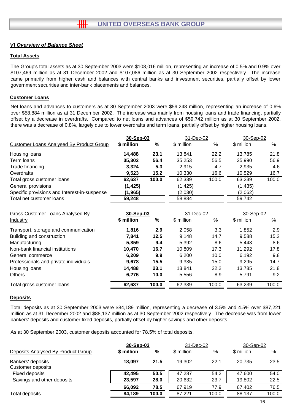## *V) Overview of Balance Sheet*

## **Total Assets**

The Group's total assets as at 30 September 2003 were \$108,016 million, representing an increase of 0.5% and 0.9% over \$107,469 million as at 31 December 2002 and \$107,086 million as at 30 September 2002 respectively. The increase came primarily from higher cash and balances with central banks and investment securities, partially offset by lower government securities and inter-bank placements and balances.

#### **Customer Loans**

Net loans and advances to customers as at 30 September 2003 were \$59,248 million, representing an increase of 0.6% over \$58,884 million as at 31 December 2002. The increase was mainly from housing loans and trade financing, partially offset by a decrease in overdrafts. Compared to net loans and advances of \$59,742 million as at 30 September 2002, there was a decrease of 0.8%, largely due to lower overdrafts and term loans, partially offset by higher housing loans.

|                                              | 31-Dec-02<br>30-Sep-03 |               | 30-Sep-02  |       |            |       |
|----------------------------------------------|------------------------|---------------|------------|-------|------------|-------|
| Customer Loans Analysed By Product Group     | \$ million             | $\frac{0}{0}$ | \$ million | $\%$  | \$ million | $\%$  |
| Housing loans                                | 14,488                 | 23.1          | 13,841     | 22.2  | 13,785     | 21.8  |
| Term Ioans                                   | 35,302                 | 56.4          | 35,253     | 56.5  | 35,990     | 56.9  |
| Trade financing                              | 3,324                  | 5.3           | 2,915      | 4.7   | 2.935      | 4.6   |
| Overdrafts                                   | 9,523                  | 15.2          | 10,330     | 16.6  | 10,529     | 16.7  |
| Total gross customer loans                   | 62,637                 | 100.0         | 62,339     | 100.0 | 63,239     | 100.0 |
| General provisions                           | (1, 425)               |               | (1, 425)   |       | (1, 435)   |       |
| Specific provisions and Interest-in-suspense | (1, 965)               |               | (2,030)    |       | (2,062)    |       |
| Total net customer loans                     | 59,248                 |               | 58,884     |       | 59,742     |       |
| Gross Customer Loans Analysed By             | 30-Sep-03              |               | 31-Dec-02  |       | 30-Sep-02  |       |
| Industry                                     | \$ million             | %             | \$ million | %     | \$ million | %     |
| Transport, storage and communication         | 1,816                  | 2.9           | 2,058      | 3.3   | 1,852      | 2.9   |
| Building and construction                    | 7,841                  | 12.5          | 9,148      | 14.7  | 9,588      | 15.2  |
| Manufacturing                                | 5,859                  | 9.4           | 5,392      | 8.6   | 5,443      | 8.6   |

| Non-bank financial institutions       | 10.470 | 16.7  | 10.809 | 17.3  | 11.292 | 17.8  |
|---------------------------------------|--------|-------|--------|-------|--------|-------|
| General commerce                      | 6.209  | 9.9   | 6,200  | 10.0  | 6.192  | 9.8   |
| Professionals and private individuals | 9.678  | 15.5  | 9,335  | 15.0  | 9.295  | 14.7  |
| Housing loans                         | 14,488 | 23.1  | 13.841 | 22.2  | 13.785 | 21.8  |
| <b>Others</b>                         | 6.276  | 10.0  | 5.556  | 8.9   | 5.791  | 9.2   |
| Total gross customer loans            | 62.637 | 100.0 | 62.339 | 100.0 | 63.239 | 100.0 |

#### **Deposits**

Total deposits as at 30 September 2003 were \$84,189 million, representing a decrease of 3.5% and 4.5% over \$87,221 million as at 31 December 2002 and \$88,137 million as at 30 September 2002 respectively. The decrease was from lower bankers' deposits and customer fixed deposits, partially offset by higher savings and other deposits.

As at 30 September 2003, customer deposits accounted for 78.5% of total deposits.

|                                        | 30-Sep-03  |       | 31-Dec-02  |       | 30-Sep-02  |       |
|----------------------------------------|------------|-------|------------|-------|------------|-------|
| Deposits Analysed By Product Group     | \$ million | %     | \$ million | %     | \$ million | %     |
| Bankers' deposits<br>Customer deposits | 18.097     | 21.5  | 19.302     | 22.1  | 20.735     | 23.5  |
| Fixed deposits                         | 42,495     | 50.5  | 47,287     | 54.2  | 47,600     | 54.0  |
| Savings and other deposits             | 23,597     | 28.0  | 20,632     | 23.7  | 19,802     | 22.5  |
|                                        | 66.092     | 78.5  | 67.919     | 77.9  | 67,402     | 76.5  |
| Total deposits                         | 84,189     | 100.0 | 87,221     | 100.0 | 88,137     | 100.0 |
|                                        |            |       |            |       |            |       |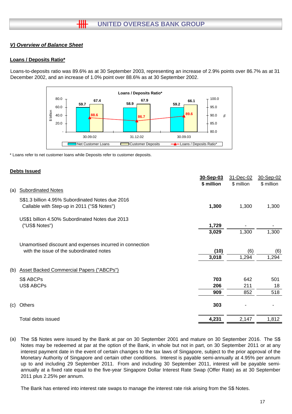## *V) Overview of Balance Sheet*

#### **Loans / Deposits Ratio\***

Loans-to-deposits ratio was 89.6% as at 30 September 2003, representing an increase of 2.9% points over 86.7% as at 31 December 2002, and an increase of 1.0% point over 88.6% as at 30 September 2002.



\* Loans refer to net customer loans while Deposits refer to customer deposits.

#### **Debts Issued**

|     |                                                          | 30-Sep-03  | 31-Dec-02  | 30-Sep-02  |
|-----|----------------------------------------------------------|------------|------------|------------|
|     |                                                          | \$ million | \$ million | \$ million |
| (a) | <b>Subordinated Notes</b>                                |            |            |            |
|     | S\$1.3 billion 4.95% Subordinated Notes due 2016         |            |            |            |
|     | Callable with Step-up in 2011 ("S\$ Notes")              | 1,300      | 1,300      | 1,300      |
|     | US\$1 billion 4.50% Subordinated Notes due 2013          |            |            |            |
|     | ("US\$ Notes")                                           | 1,729      |            |            |
|     |                                                          | 3,029      | 1,300      | 1,300      |
|     | Unamortised discount and expenses incurred in connection |            |            |            |
|     | with the issue of the subordinated notes                 | (10)       | (6)        | (6)        |
|     |                                                          | 3,018      | 1,294      | 1,294      |
| (b) | <b>Asset Backed Commercial Papers ("ABCPs")</b>          |            |            |            |
|     | S\$ ABCPs                                                | 703        | 642        | 501        |
|     | US\$ ABCPs                                               | 206        | 211        | 18         |
|     |                                                          | 909        | 852        | 518        |
| (c) | Others                                                   | 303        |            |            |
|     | Total debts issued                                       | 4,231      | 2,147      | 1,812      |
|     |                                                          |            |            |            |

(a) The S\$ Notes were issued by the Bank at par on 30 September 2001 and mature on 30 September 2016. The S\$ Notes may be redeemed at par at the option of the Bank, in whole but not in part, on 30 September 2011 or at any interest payment date in the event of certain changes to the tax laws of Singapore, subject to the prior approval of the Monetary Authority of Singapore and certain other conditions. Interest is payable semi-annually at 4.95% per annum up to and including 29 September 2011. From and including 30 September 2011, interest will be payable semiannually at a fixed rate equal to the five-year Singapore Dollar Interest Rate Swap (Offer Rate) as at 30 September 2011 plus 2.25% per annum.

The Bank has entered into interest rate swaps to manage the interest rate risk arising from the S\$ Notes.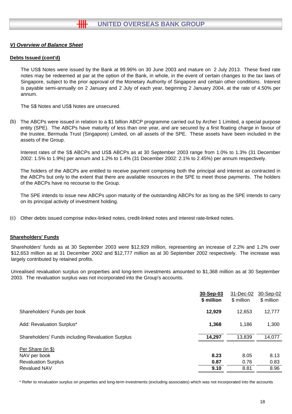## *V) Overview of Balance Sheet*

#### **Debts Issued (cont'd)**

The US\$ Notes were issued by the Bank at 99.96% on 30 June 2003 and mature on 2 July 2013. These fixed rate notes may be redeemed at par at the option of the Bank, in whole, in the event of certain changes to the tax laws of Singapore, subject to the prior approval of the Monetary Authority of Singapore and certain other conditions. Interest is payable semi-annually on 2 January and 2 July of each year, beginning 2 January 2004, at the rate of 4.50% per annum.

The S\$ Notes and US\$ Notes are unsecured.

(b) The ABCPs were issued in relation to a \$1 billion ABCP programme carried out by Archer 1 Limited, a special purpose entity (SPE). The ABCPs have maturity of less than one year, and are secured by a first floating charge in favour of the trustee, Bermuda Trust (Singapore) Limited, on all assets of the SPE. These assets have been included in the assets of the Group.

Interest rates of the S\$ ABCPs and US\$ ABCPs as at 30 September 2003 range from 1.0% to 1.3% (31 December 2002: 1.5% to 1.9%) per annum and 1.2% to 1.4% (31 December 2002: 2.1% to 2.45%) per annum respectively.

The holders of the ABCPs are entitled to receive payment comprising both the principal and interest as contracted in the ABCPs but only to the extent that there are available resources in the SPE to meet those payments. The holders of the ABCPs have no recourse to the Group.

The SPE intends to issue new ABCPs upon maturity of the outstanding ABCPs for as long as the SPE intends to carry on its principal activity of investment holding.

(c) Other debts issued comprise index-linked notes, credit-linked notes and interest rate-linked notes.

#### **Shareholders' Funds**

Shareholders' funds as at 30 September 2003 were \$12,929 million, representing an increase of 2.2% and 1.2% over \$12,653 million as at 31 December 2002 and \$12,777 million as at 30 September 2002 respectively. The increase was largely contributed by retained profits.

Unrealised revaluation surplus on properties and long-term investments amounted to \$1,368 million as at 30 September 2003. The revaluation surplus was not incorporated into the Group's accounts.

|                                                                                        | 30-Sep-03<br>\$ million | 31-Dec-02<br>\$ million | 30-Sep-02<br>\$ million |
|----------------------------------------------------------------------------------------|-------------------------|-------------------------|-------------------------|
| Shareholders' Funds per book                                                           | 12,929                  | 12,653                  | 12,777                  |
| Add: Revaluation Surplus*                                                              | 1,368                   | 1,186                   | 1,300                   |
| Shareholders' Funds including Revaluation Surplus                                      | 14,297                  | 13,839                  | 14,077                  |
| Per Share (in \$)<br>NAV per book<br><b>Revaluation Surplus</b><br><b>Revalued NAV</b> | 8.23<br>0.87<br>9.10    | 8.05<br>0.76<br>8.81    | 8.13<br>0.83<br>8.96    |

\* Refer to revaluation surplus on properties and long-term investments (excluding associates) which was not incorporated into the accounts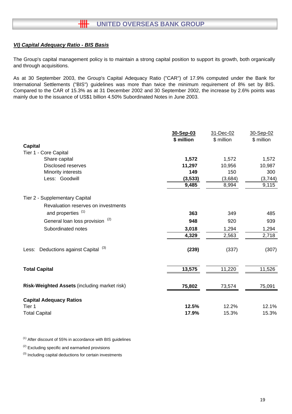## *VI) Capital Adequacy Ratio - BIS Basis*

The Group's capital management policy is to maintain a strong capital position to support its growth, both organically and through acquisitions.

As at 30 September 2003, the Group's Capital Adequacy Ratio ("CAR") of 17.9% computed under the Bank for International Settlements ("BIS") guidelines was more than twice the minimum requirement of 8% set by BIS. Compared to the CAR of 15.3% as at 31 December 2002 and 30 September 2002, the increase by 2.6% points was mainly due to the issuance of US\$1 billion 4.50% Subordinated Notes in June 2003.

|                                                     | 30-Sep-03  | 31-Dec-02  | 30-Sep-02  |
|-----------------------------------------------------|------------|------------|------------|
|                                                     | \$ million | \$ million | \$ million |
| <b>Capital</b>                                      |            |            |            |
| Tier 1 - Core Capital                               |            |            |            |
| Share capital                                       | 1,572      | 1,572      | 1,572      |
| <b>Disclosed reserves</b>                           | 11,297     | 10,956     | 10,987     |
| Minority interests                                  | 149        | 150        | 300        |
| Less: Goodwill                                      | (3, 533)   | (3,684)    | (3,744)    |
|                                                     | 9,485      | 8,994      | 9,115      |
| Tier 2 - Supplementary Capital                      |            |            |            |
| Revaluation reserves on investments                 |            |            |            |
| and properties <sup>(1)</sup>                       | 363        | 349        | 485        |
| General loan loss provision <sup>(2)</sup>          | 948        | 920        | 939        |
| Subordinated notes                                  | 3,018      | 1,294      | 1,294      |
|                                                     | 4,329      | 2,563      | 2,718      |
| Deductions against Capital <sup>(3)</sup><br>Less:  | (239)      | (337)      | (307)      |
| <b>Total Capital</b>                                | 13,575     | 11,220     | 11,526     |
| <b>Risk-Weighted Assets (including market risk)</b> | 75,802     | 73,574     | 75,091     |
| <b>Capital Adequacy Ratios</b><br>Tier 1            | 12.5%      | 12.2%      | 12.1%      |
| <b>Total Capital</b>                                | 17.9%      | 15.3%      | 15.3%      |

 $(1)$  After discount of 55% in accordance with BIS guidelines

 $(2)$  Excluding specific and earmarked provisions

<sup>(3)</sup> Including capital deductions for certain investments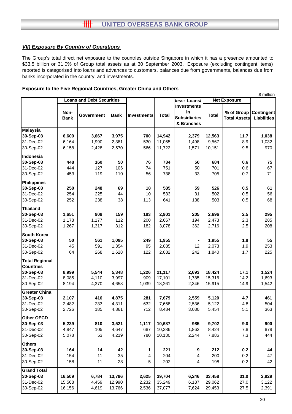## *VII) Exposure By Country of Operations*

The Group's total direct net exposure to the countries outside Singapore in which it has a presence amounted to \$33.5 billion or 31.0% of Group total assets as at 30 September 2003. Exposure (excluding contingent items) reported is categorised into loans and advances to customers, balances due from governments, balances due from banks incorporated in the country, and investments.

#### **Exposure to the Five Regional Countries, Greater China and Others**

|                       |                                  |            |             |                    |              |                     |                     |                     | \$ million         |
|-----------------------|----------------------------------|------------|-------------|--------------------|--------------|---------------------|---------------------|---------------------|--------------------|
|                       | <b>Loans and Debt Securities</b> |            |             |                    | less: Loans/ |                     | <b>Net Exposure</b> |                     |                    |
|                       |                                  |            |             |                    |              | <b>Investments</b>  |                     |                     |                    |
|                       | Non-                             |            |             |                    |              | in                  |                     | % of Group          | <b>Contingent</b>  |
|                       | <b>Bank</b>                      | Government | <b>Bank</b> | <b>Investments</b> | <b>Total</b> | <b>Subsidiaries</b> | <b>Total</b>        | <b>Total Assets</b> | <b>Liabilities</b> |
|                       |                                  |            |             |                    |              | & Branches          |                     |                     |                    |
| <b>Malaysia</b>       |                                  |            |             |                    |              |                     |                     |                     |                    |
| 30-Sep-03             | 6,600                            | 3,667      | 3,975       | 700                | 14,942       | 2,379               | 12,563              | 11.7                | 1,038              |
| 31-Dec-02             | 6,164                            | 1,990      | 2,381       | 530                | 11,065       | 1,498               | 9,567               | 8.9                 | 1,032              |
| 30-Sep-02             | 6,158                            | 2,428      | 2,570       | 566                | 11,722       | 1,571               | 10,151              | 9.5                 | 970                |
| Indonesia             |                                  |            |             |                    |              |                     |                     |                     |                    |
| 30-Sep-03             | 448                              | 160        | 50          | 76                 | 734          | 50                  | 684                 | 0.6                 | 75                 |
| 31-Dec-02             | 444                              | 127        | 106         | 74                 | 751          | 50                  | 701                 | 0.6                 | 67                 |
| 30-Sep-02             | 453                              | 119        | 110         | 56                 | 738          | 33                  | 705                 | 0.7                 | 71                 |
| <b>Philippines</b>    |                                  |            |             |                    |              |                     |                     |                     |                    |
| 30-Sep-03             | 250                              | 248        | 69          | 18                 | 585          | 59                  | 526                 | 0.5                 | 61                 |
| 31-Dec-02             | 254                              | 225        | 44          | 10                 | 533          | 31                  | 502                 | 0.5                 | 56                 |
| 30-Sep-02             | 252                              | 238        | 38          | 113                | 641          | 138                 | 503                 | 0.5                 | 68                 |
| <b>Thailand</b>       |                                  |            |             |                    |              |                     |                     |                     |                    |
| 30-Sep-03             | 1,651                            | 908        | 159         | 183                | 2,901        | 205                 | 2,696               | 2.5                 | 295                |
| 31-Dec-02             | 1,178                            | 1,177      | 112         | 200                | 2,667        | 194                 | 2,473               | 2.3                 | 285                |
| 30-Sep-02             | 1,267                            | 1,317      | 312         | 182                | 3,078        | 362                 | 2,716               | 2.5                 | 208                |
| <b>South Korea</b>    |                                  |            |             |                    |              |                     |                     |                     |                    |
| 30-Sep-03             | 50                               | 561        | 1,095       | 249                | 1,955        |                     | 1,955               | 1.8                 | 55                 |
| 31-Dec-02             | 45                               | 591        | 1,354       | 95                 | 2,085        | 12                  | 2,073               | 1.9                 | 253                |
| 30-Sep-02             | 64                               | 268        | 1,628       | 122                | 2,082        | 242                 | 1,840               | 1.7                 | 225                |
| <b>Total Regional</b> |                                  |            |             |                    |              |                     |                     |                     |                    |
| <b>Countries</b>      |                                  |            |             |                    |              |                     |                     |                     |                    |
| 30-Sep-03             | 8,999                            | 5,544      | 5,348       | 1,226              | 21,117       | 2,693               | 18,424              | 17.1                | 1,524              |
| 31-Dec-02             | 8,085                            | 4,110      | 3,997       | 909                | 17,101       | 1,785               | 15,316              | 14.2                | 1,693              |
| 30-Sep-02             | 8,194                            | 4,370      | 4,658       | 1,039              | 18,261       | 2,346               | 15,915              | 14.9                | 1,542              |
| <b>Greater China</b>  |                                  |            |             |                    |              |                     |                     |                     |                    |
| 30-Sep-03             | 2,107                            | 416        | 4,875       | 281                | 7,679        | 2,559               | 5,120               | 4.7                 | 461                |
| 31-Dec-02             | 2,482                            | 233        | 4,311       | 632                | 7,658        | 2,536               | 5,122               | 4.8                 | 504                |
| 30-Sep-02             | 2,726                            | 185        | 4,861       | 712                | 8,484        | 3,030               | 5,454               | 5.1                 | 363                |
| Other OECD            |                                  |            |             |                    |              |                     |                     |                     |                    |
| 30-Sep-03             | 5,239                            | 810        | 3,521       | 1,117              | 10,687       | 985                 | 9,702               | 9.0                 | 900                |
| 31-Dec-02             | 4,847                            | 105        | 4,647       | 687                | 10,286       | 1,862               | 8,424               | 7.8                 | 878                |
| 30-Sep-02             | 5,078                            | 53         | 4,219       | 780                | 10,130       | 2,244               | 7,886               | 7.3                 | 444                |
| <b>Others</b>         |                                  |            |             |                    |              |                     |                     |                     |                    |
| 30-Sep-03             | 164                              | 14         | 42          | 1                  | 221          | 9                   | 212                 | 0.2                 | 44                 |
| 31-Dec-02             | 154                              | 11         | 35          | 4                  | 204          | 4                   | 200                 | 0.2                 | 47                 |
| 30-Sep-02             | 158                              | 11         | 28          | 5                  | 202          | 4                   | 198                 | 0.2                 | 42                 |
| <b>Grand Total</b>    |                                  |            |             |                    |              |                     |                     |                     |                    |
| 30-Sep-03             | 16,509                           | 6,784      | 13,786      | 2,625              | 39,704       | 6,246               | 33,458              | 31.0                | 2,929              |
| 31-Dec-02             | 15,568                           | 4,459      | 12,990      | 2,232              | 35,249       | 6,187               | 29,062              | 27.0                | 3,122              |
| 30-Sep-02             | 16,156                           | 4,619      | 13,766      | 2,536              | 37,077       | 7,624               | 29,453              | 27.5                | 2,391              |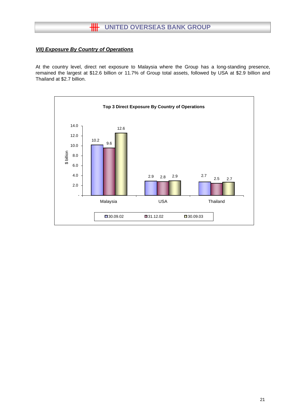## *VII) Exposure By Country of Operations*

At the country level, direct net exposure to Malaysia where the Group has a long-standing presence, remained the largest at \$12.6 billion or 11.7% of Group total assets, followed by USA at \$2.9 billion and Thailand at \$2.7 billion.

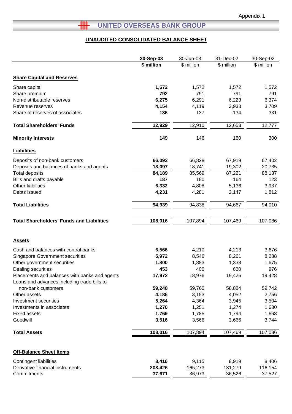## **LETTED OVERSEAS BANK GROUP**

## **UNAUDITED CONSOLIDATED BALANCE SHEET**

|                                                                                              | 30-Sep-03  | 30-Jun-03  | 31-Dec-02  | 30-Sep-02  |
|----------------------------------------------------------------------------------------------|------------|------------|------------|------------|
|                                                                                              | \$ million | \$ million | \$ million | \$ million |
|                                                                                              |            |            |            |            |
| <b>Share Capital and Reserves</b>                                                            |            |            |            |            |
| Share capital                                                                                | 1,572      | 1,572      | 1,572      | 1,572      |
| Share premium                                                                                | 792        | 791        | 791        | 791        |
| Non-distributable reserves                                                                   | 6,275      | 6,291      | 6,223      | 6,374      |
| Revenue reserves                                                                             | 4,154      | 4,119      | 3,933      | 3,709      |
| Share of reserves of associates                                                              | 136        | 137        | 134        | 331        |
| <b>Total Shareholders' Funds</b>                                                             | 12,929     | 12,910     | 12,653     | 12,777     |
| <b>Minority Interests</b>                                                                    | 149        | 146        | 150        | 300        |
| <b>Liabilities</b>                                                                           |            |            |            |            |
| Deposits of non-bank customers                                                               | 66,092     | 66,828     | 67,919     | 67,402     |
| Deposits and balances of banks and agents                                                    | 18,097     | 18,741     | 19,302     | 20,735     |
| <b>Total deposits</b>                                                                        | 84,189     | 85,569     | 87,221     | 88,137     |
| Bills and drafts payable                                                                     | 187        | 180        | 164        | 123        |
| Other liabilities                                                                            | 6,332      | 4,808      | 5,136      | 3,937      |
| Debts issued                                                                                 | 4,231      | 4,281      | 2,147      | 1,812      |
| <b>Total Liabilities</b>                                                                     | 94,939     | 94,838     | 94,667     | 94,010     |
|                                                                                              |            |            |            |            |
| <b>Total Shareholders' Funds and Liabilities</b>                                             | 108,016    | 107,894    | 107,469    | 107,086    |
|                                                                                              |            |            |            |            |
| <b>Assets</b>                                                                                |            |            |            |            |
|                                                                                              |            |            |            |            |
| Cash and balances with central banks                                                         | 6,566      | 4,210      | 4,213      | 3,676      |
| <b>Singapore Government securities</b>                                                       | 5,972      | 8,546      | 8,261      | 8,288      |
| Other government securities                                                                  | 1,800      | 1,883      | 1,333      | 1,675      |
| Dealing securities                                                                           | 453        | 400        | 620        | 976        |
| Placements and balances with banks and agents<br>Loans and advances including trade bills to | 17,972     | 18,976     | 19,426     | 19,428     |
| non-bank customers                                                                           | 59,248     | 59,760     | 58,884     | 59,742     |
| Other assets                                                                                 | 4,186      | 3,153      | 4,052      | 2,756      |
| Investment securities                                                                        | 5,264      | 4,364      | 3,945      | 3,504      |
| Investments in associates                                                                    | 1,270      | 1,251      | 1,274      | 1,630      |
| <b>Fixed assets</b>                                                                          | 1,769      | 1,785      | 1,794      | 1,668      |
| Goodwill                                                                                     | 3,516      | 3,566      | 3,666      | 3,744      |
| <b>Total Assets</b>                                                                          | 108,016    | 107,894    | 107,469    | 107,086    |
|                                                                                              |            |            |            |            |
| <b>Off-Balance Sheet Items</b>                                                               |            |            |            |            |
| <b>Contingent liabilities</b>                                                                | 8,416      | 9,115      | 8,919      | 8,406      |
| Derivative financial instruments                                                             | 208,426    | 165,273    | 131,279    | 116,154    |
| Commitments                                                                                  | 37,671     | 36,973     | 36,526     | 37,527     |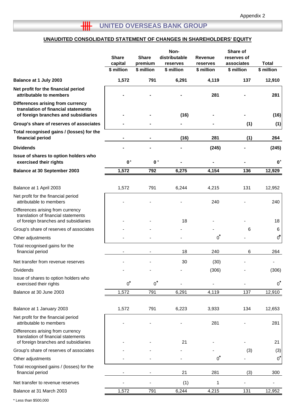## **UNAUDITED CONSOLIDATED STATEMENT OF CHANGES IN SHAREHOLDERS' EQUITY**

|                                                                                                                  | <b>Share</b><br>capital<br>\$ million | <b>Share</b><br>premium<br>\$ million | Non-<br>distributable<br>reserves<br>\$ million | Revenue<br>reserves<br>\$ million | Share of<br>reserves of<br>associates<br>\$ million | <b>Total</b><br>\$ million |
|------------------------------------------------------------------------------------------------------------------|---------------------------------------|---------------------------------------|-------------------------------------------------|-----------------------------------|-----------------------------------------------------|----------------------------|
| Balance at 1 July 2003                                                                                           | 1,572                                 | 791                                   | 6,291                                           | 4,119                             | 137                                                 | 12,910                     |
| Net profit for the financial period<br>attributable to members                                                   |                                       |                                       |                                                 | 281                               |                                                     | 281                        |
| Differences arising from currency<br>translation of financial statements<br>of foreign branches and subsidiaries |                                       |                                       | (16)                                            |                                   |                                                     | (16)                       |
| Group's share of reserves of associates                                                                          |                                       |                                       |                                                 |                                   | (1)                                                 | (1)                        |
| Total recognised gains / (losses) for the<br>financial period                                                    |                                       |                                       | (16)                                            | 281                               | (1)                                                 | 264                        |
| <b>Dividends</b>                                                                                                 |                                       |                                       |                                                 | (245)                             |                                                     | (245)                      |
| Issue of shares to option holders who<br>exercised their rights                                                  | $0*$                                  | $\mathbf{0}^*$                        |                                                 |                                   |                                                     | $\mathbf{0}^*$             |
| <b>Balance at 30 September 2003</b>                                                                              | 1,572                                 | 792                                   | 6,275                                           | 4,154                             | 136                                                 | 12,929                     |
| Balance at 1 April 2003                                                                                          | 1,572                                 | 791                                   | 6,244                                           | 4,215                             | 131                                                 | 12,952                     |
| Net profit for the financial period<br>attributable to members                                                   |                                       |                                       |                                                 | 240                               |                                                     | 240                        |
| Differences arising from currency<br>translation of financial statements<br>of foreign branches and subsidiaries |                                       |                                       | 18                                              |                                   |                                                     | 18                         |
| Group's share of reserves of associates                                                                          |                                       |                                       |                                                 |                                   | 6                                                   | 6                          |
| Other adjustments                                                                                                |                                       |                                       |                                                 | $0^*$                             |                                                     | 0*                         |
| Total recognised gains for the<br>financial period                                                               |                                       |                                       | 18                                              | 240                               | 6                                                   | 264                        |
| Net transfer from revenue reserves                                                                               |                                       |                                       | 30                                              | (30)                              |                                                     |                            |
| Dividends                                                                                                        |                                       |                                       |                                                 | (306)                             |                                                     | (306)                      |
| Issue of shares to option holders who<br>exercised their rights                                                  | $0^*$                                 | $0^*$                                 |                                                 |                                   |                                                     | $0^*$                      |
| Balance at 30 June 2003                                                                                          | 1,572                                 | 791                                   | 6,291                                           | 4,119                             | 137                                                 | 12,910                     |
| Balance at 1 January 2003                                                                                        | 1,572                                 | 791                                   | 6,223                                           | 3,933                             | 134                                                 | 12,653                     |
| Net profit for the financial period<br>attributable to members                                                   |                                       |                                       |                                                 | 281                               |                                                     | 281                        |
| Differences arising from currency<br>translation of financial statements<br>of foreign branches and subsidiaries |                                       |                                       | 21                                              |                                   |                                                     | 21                         |
| Group's share of reserves of associates                                                                          |                                       |                                       |                                                 |                                   | (3)                                                 | (3)                        |
| Other adjustments                                                                                                |                                       |                                       |                                                 | $0^*$                             |                                                     | $0^*$                      |
| Total recognised gains / (losses) for the<br>financial period                                                    |                                       |                                       | 21                                              | 281                               | (3)                                                 | 300                        |
| Net transfer to revenue reserves                                                                                 |                                       |                                       | (1)                                             | 1                                 |                                                     |                            |
| Balance at 31 March 2003                                                                                         | 1,572                                 | 791                                   | 6,244                                           | 4,215                             | 131                                                 | 12,952                     |
| * Less than \$500,000                                                                                            |                                       |                                       |                                                 |                                   |                                                     |                            |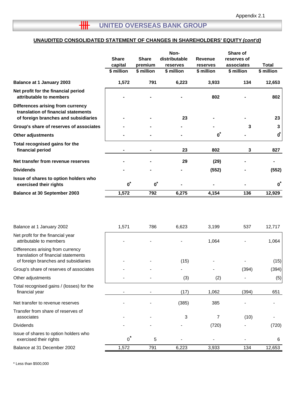## **UNAUDITED CONSOLIDATED STATEMENT OF CHANGES IN SHAREHOLDERS' EQUITY** *(cont'd)*

|                                                                                                                  | <b>Share</b><br>capital | <b>Share</b><br>premium | Non-<br>distributable<br>reserves | Revenue<br>reserves | Share of<br>reserves of<br>associates | Total                |
|------------------------------------------------------------------------------------------------------------------|-------------------------|-------------------------|-----------------------------------|---------------------|---------------------------------------|----------------------|
|                                                                                                                  | \$ million              | \$ million              | \$ million                        | \$ million          | \$ million                            | \$ million           |
| <b>Balance at 1 January 2003</b>                                                                                 | 1,572                   | 791                     | 6,223                             | 3,933               | 134                                   | 12,653               |
| Net profit for the financial period<br>attributable to members                                                   |                         |                         |                                   | 802                 |                                       | 802                  |
| Differences arising from currency<br>translation of financial statements<br>of foreign branches and subsidiaries |                         |                         | 23                                |                     |                                       | 23                   |
| Group's share of reserves of associates                                                                          |                         |                         |                                   |                     | 3                                     | 3                    |
| <b>Other adjustments</b>                                                                                         |                         |                         |                                   | $\boldsymbol{0}^*$  |                                       | $\vec{\mathbf{0}}^*$ |
| Total recognised gains for the<br>financial period                                                               |                         |                         | 23                                | 802                 | 3                                     | 827                  |
| Net transfer from revenue reserves                                                                               |                         |                         | 29                                | (29)                |                                       |                      |
| <b>Dividends</b>                                                                                                 |                         |                         |                                   | (552)               |                                       | (552)                |
| Issue of shares to option holders who<br>exercised their rights                                                  | $\mathbf{o}^*$          | $\mathbf{0}^*$          |                                   |                     |                                       | $\bf{0}$             |
| <b>Balance at 30 September 2003</b>                                                                              | 1,572                   | 792                     | 6,275                             | 4,154               | 136                                   | 12,929               |

| Balance at 1 January 2002                                                                                        | 1,571 | 786 | 6,623 | 3,199 | 537   | 12,717 |
|------------------------------------------------------------------------------------------------------------------|-------|-----|-------|-------|-------|--------|
| Net profit for the financial year<br>attributable to members                                                     |       |     |       | 1,064 |       | 1,064  |
| Differences arising from currency<br>translation of financial statements<br>of foreign branches and subsidiaries |       |     | (15)  |       |       | (15)   |
| Group's share of reserves of associates                                                                          |       |     |       |       | (394) | (394)  |
| Other adjustments                                                                                                |       |     | (3)   | (2)   |       | (5)    |
| Total recognised gains / (losses) for the<br>financial year                                                      |       |     | (17)  | 1,062 | (394) | 651    |
| Net transfer to revenue reserves                                                                                 |       |     | (385) | 385   |       |        |
| Transfer from share of reserves of<br>associates                                                                 |       |     | 3     | 7     | (10)  |        |
| <b>Dividends</b>                                                                                                 |       |     |       | (720) |       | (720)  |
| Issue of shares to option holders who<br>exercised their rights                                                  | $0^*$ | 5   |       |       |       | 6      |
| Balance at 31 December 2002                                                                                      | 1,572 | 791 | 6,223 | 3,933 | 134   | 12,653 |

\* Less than \$500,000